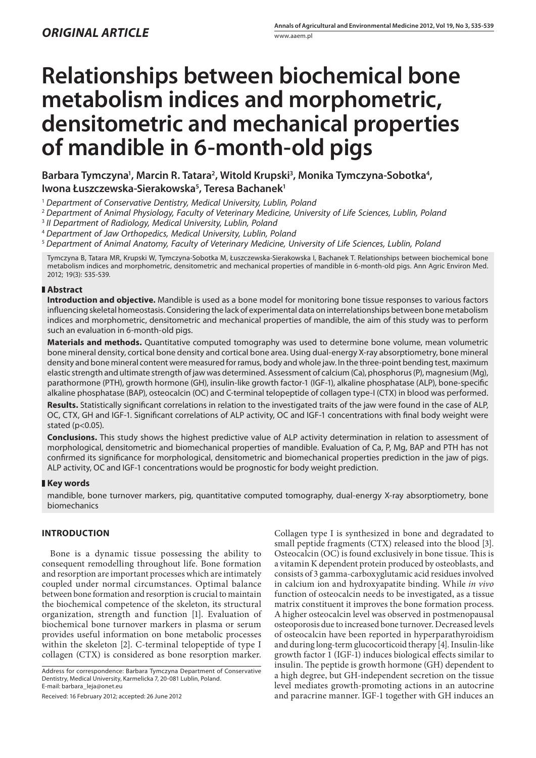# **Relationships between biochemical bone metabolism indices and morphometric, densitometric and mechanical properties of mandible in 6-month-old pigs**

Barbara Tymczyna<sup>1</sup>, Marcin R. Tatara<sup>2</sup>, Witold Krupski<sup>3</sup>, Monika Tymczyna-Sobotka<sup>4</sup>, **Iwona Łuszczewska-Sierakowska5 , Teresa Bachanek1**

<sup>1</sup> *Department of Conservative Dentistry, Medical University, Lublin, Poland*

<sup>2</sup> *Department of Animal Physiology, Faculty of Veterinary Medicine, University of Life Sciences, Lublin, Poland*

<sup>3</sup> *II Department of Radiology, Medical University, Lublin, Poland*

<sup>4</sup> *Department of Jaw Orthopedics, Medical University, Lublin, Poland*

<sup>5</sup> *Department of Animal Anatomy, Faculty of Veterinary Medicine, University of Life Sciences, Lublin, Poland*

Tymczyna B, Tatara MR, Krupski W, Tymczyna-Sobotka M, Łuszczewska-Sierakowska I, Bachanek T. Relationships between biochemical bone metabolism indices and morphometric, densitometric and mechanical properties of mandible in 6-month-old pigs. Ann Agric Environ Med. 2012; 19(3): 535-539.

### **Abstract**

**Introduction and objective.** Mandible is used as a bone model for monitoring bone tissue responses to various factors influencing skeletal homeostasis. Considering the lack of experimental data on interrelationships between bone metabolism indices and morphometric, densitometric and mechanical properties of mandible, the aim of this study was to perform such an evaluation in 6-month-old pigs.

**Materials and methods.** Quantitative computed tomography was used to determine bone volume, mean volumetric bone mineral density, cortical bone density and cortical bone area. Using dual-energy X-ray absorptiometry, bone mineral density and bone mineral content were measured for ramus, body and whole jaw. In the three-point bending test, maximum elastic strength and ultimate strength of jaw was determined. Assessment of calcium (Ca), phosphorus (P), magnesium (Mg), parathormone (PTH), growth hormone (GH), insulin-like growth factor-1 (IGF-1), alkaline phosphatase (ALP), bone-specific alkaline phosphatase (BAP), osteocalcin (OC) and C-terminal telopeptide of collagen type-I (CTX) in blood was performed. **Results.** Statistically significant correlations in relation to the investigated traits of the jaw were found in the case of ALP, OC, CTX, GH and IGF-1. Significant correlations of ALP activity, OC and IGF-1 concentrations with final body weight were stated (p<0.05).

**Conclusions.** This study shows the highest predictive value of ALP activity determination in relation to assessment of morphological, densitometric and biomechanical properties of mandible. Evaluation of Ca, P, Mg, BAP and PTH has not confirmed its significance for morphological, densitometric and biomechanical properties prediction in the jaw of pigs. ALP activity, OC and IGF-1 concentrations would be prognostic for body weight prediction.

#### **Key words**

mandible, bone turnover markers, pig, quantitative computed tomography, dual-energy X-ray absorptiometry, bone biomechanics

## **Introduction**

Bone is a dynamic tissue possessing the ability to consequent remodelling throughout life. Bone formation and resorption are important processes which are intimately coupled under normal circumstances. Optimal balance between bone formation and resorption is crucial to maintain the biochemical competence of the skeleton, its structural organization, strength and function [1]. Evaluation of biochemical bone turnover markers in plasma or serum provides useful information on bone metabolic processes within the skeleton [2]. C-terminal telopeptide of type I collagen (CTX) is considered as bone resorption marker.

Received: 16 February 2012; accepted: 26 June 2012

Collagen type I is synthesized in bone and degradated to small peptide fragments (CTX) released into the blood [3]. Osteocalcin (OC) is found exclusively in bone tissue. This is a vitamin K dependent protein produced by osteoblasts, and consists of 3 gamma-carboxyglutamic acid residues involved in calcium ion and hydroxyapatite binding. While *in vivo*  function of osteocalcin needs to be investigated, as a tissue matrix constituent it improves the bone formation process. A higher osteocalcin level was observed in postmenopausal osteoporosis due to increased bone turnover. Decreased levels of osteocalcin have been reported in hyperparathyroidism and during long-term glucocorticoid therapy [4]. Insulin-like growth factor 1 (IGF-1) induces biological effects similar to insulin. The peptide is growth hormone (GH) dependent to a high degree, but GH-independent secretion on the tissue level mediates growth-promoting actions in an autocrine and paracrine manner. IGF-1 together with GH induces an

Address for correspondence: Barbara Tymczyna Department of Conservative Dentistry, Medical University, Karmelicka 7, 20-081 Lublin, Poland. E-mail: barbara\_leja@onet.eu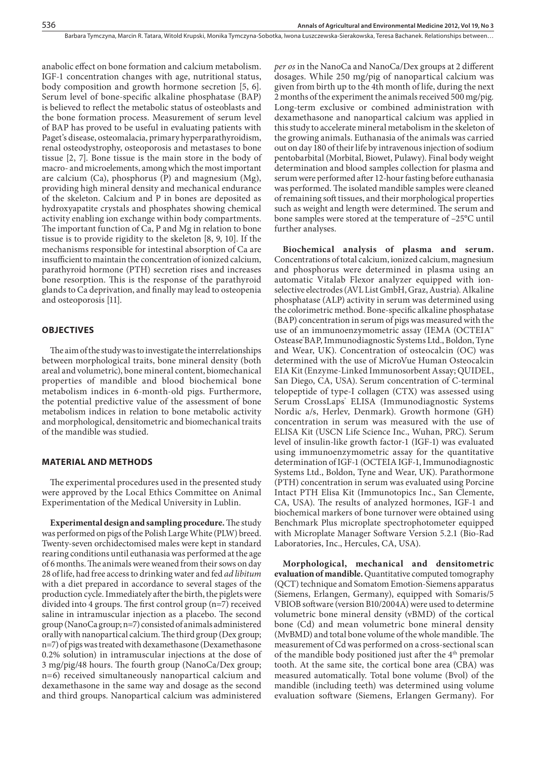anabolic effect on bone formation and calcium metabolism. IGF-1 concentration changes with age, nutritional status, body composition and growth hormone secretion [5, 6]. Serum level of bone-specific alkaline phosphatase (BAP) is believed to reflect the metabolic status of osteoblasts and the bone formation process. Measurement of serum level of BAP has proved to be useful in evaluating patients with Paget's disease, osteomalacia, primary hyperparathyroidism, renal osteodystrophy, osteoporosis and metastases to bone tissue [2, 7]. Bone tissue is the main store in the body of macro- and microelements, among which the most important are calcium (Ca), phosphorus (P) and magnesium (Mg), providing high mineral density and mechanical endurance of the skeleton. Calcium and P in bones are deposited as hydroxyapatite crystals and phosphates showing chemical activity enabling ion exchange within body compartments. The important function of Ca, P and Mg in relation to bone tissue is to provide rigidity to the skeleton [8, 9, 10]. If the mechanisms responsible for intestinal absorption of Ca are insufficient to maintain the concentration of ionized calcium, parathyroid hormone (PTH) secretion rises and increases bone resorption. This is the response of the parathyroid glands to Ca deprivation, and finally may lead to osteopenia and osteoporosis [11].

#### **Objectives**

The aim of the study was to investigate the interrelationships between morphological traits, bone mineral density (both areal and volumetric), bone mineral content, biomechanical properties of mandible and blood biochemical bone metabolism indices in 6-month-old pigs. Furthermore, the potential predictive value of the assessment of bone metabolism indices in relation to bone metabolic activity and morphological, densitometric and biomechanical traits of the mandible was studied.

#### **Material and Methods**

The experimental procedures used in the presented study were approved by the Local Ethics Committee on Animal Experimentation of the Medical University in Lublin.

**Experimental design and sampling procedure.** The study was performed on pigs of the Polish Large White (PLW) breed. Twenty-seven orchidectomised males were kept in standard rearing conditions until euthanasia was performed at the age of 6 months. The animals were weaned from their sows on day 28 of life, had free access to drinking water and fed *ad libitum* with a diet prepared in accordance to several stages of the production cycle. Immediately after the birth, the piglets were divided into 4 groups. The first control group (n=7) received saline in intramuscular injection as a placebo. The second group (NanoCa group; n=7) consisted of animals administered orally with nanopartical calcium. The third group (Dex group; n=7) of pigs was treated with dexamethasone (Dexamethasone 0.2% solution) in intramuscular injections at the dose of 3 mg/pig/48 hours. The fourth group (NanoCa/Dex group; n=6) received simultaneously nanopartical calcium and dexamethasone in the same way and dosage as the second and third groups. Nanopartical calcium was administered

*per os* in the NanoCa and NanoCa/Dex groups at 2 different dosages. While 250 mg/pig of nanopartical calcium was given from birth up to the 4th month of life, during the next 2 months of the experiment the animals received 500 mg/pig. Long-term exclusive or combined administration with dexamethasone and nanopartical calcium was applied in this study to accelerate mineral metabolism in the skeleton of the growing animals. Euthanasia of the animals was carried out on day 180 of their life by intravenous injection of sodium pentobarbital (Morbital, Biowet, Pulawy). Final body weight determination and blood samples collection for plasma and serum were performed after 12-hour fasting before euthanasia was performed. The isolated mandible samples were cleaned of remaining soft tissues, and their morphological properties such as weight and length were determined. The serum and bone samples were stored at the temperature of –25°C until further analyses.

**Biochemical analysis of plasma and serum.**  Concentrations of total calcium, ionized calcium, magnesium and phosphorus were determined in plasma using an automatic Vitalab Flexor analyzer equipped with ionselective electrodes (AVL List GmbH, Graz, Austria). Alkaline phosphatase (ALP) activity in serum was determined using the colorimetric method. Bone-specific alkaline phosphatase (BAP) concentration in serum of pigs was measured with the use of an immunoenzymometric assay (IEMA (OCTEIA™ Ostease® BAP, Immunodiagnostic Systems Ltd., Boldon, Tyne and Wear, UK). Concentration of osteocalcin (OC) was determined with the use of MicroVue Human Osteocalcin EIA Kit (Enzyme-Linked Immunosorbent Assay; QUIDEL, San Diego, CA, USA). Serum concentration of C-terminal telopeptide of type-I collagen (CTX) was assessed using Serum CrossLaps<sup>®</sup> ELISA (Immunodiagnostic Systems Nordic a/s, Herlev, Denmark). Growth hormone (GH) concentration in serum was measured with the use of ELISA Kit (USCN Life Science Inc., Wuhan, PRC). Serum level of insulin-like growth factor-1 (IGF-1) was evaluated using immunoenzymometric assay for the quantitative determination of IGF-1 (OCTEIA IGF-1, Immunodiagnostic Systems Ltd., Boldon, Tyne and Wear, UK). Parathormone (PTH) concentration in serum was evaluated using Porcine Intact PTH Elisa Kit (Immunotopics Inc., San Clemente, CA, USA). The results of analyzed hormones, IGF-1 and biochemical markers of bone turnover were obtained using Benchmark Plus microplate spectrophotometer equipped with Microplate Manager Software Version 5.2.1 (Bio-Rad Laboratories, Inc., Hercules, CA, USA).

**Morphological, mechanical and densitometric evaluation of mandible.** Quantitative computed tomography (QCT) technique and Somatom Emotion-Siemens apparatus (Siemens, Erlangen, Germany), equipped with Somaris/5 VBIOB software (version B10/2004A) were used to determine volumetric bone mineral density (vBMD) of the cortical bone (Cd) and mean volumetric bone mineral density (MvBMD) and total bone volume of the whole mandible. The measurement of Cd was performed on a cross-sectional scan of the mandible body positioned just after the 4th premolar tooth. At the same site, the cortical bone area (CBA) was measured automatically. Total bone volume (Bvol) of the mandible (including teeth) was determined using volume evaluation software (Siemens, Erlangen Germany). For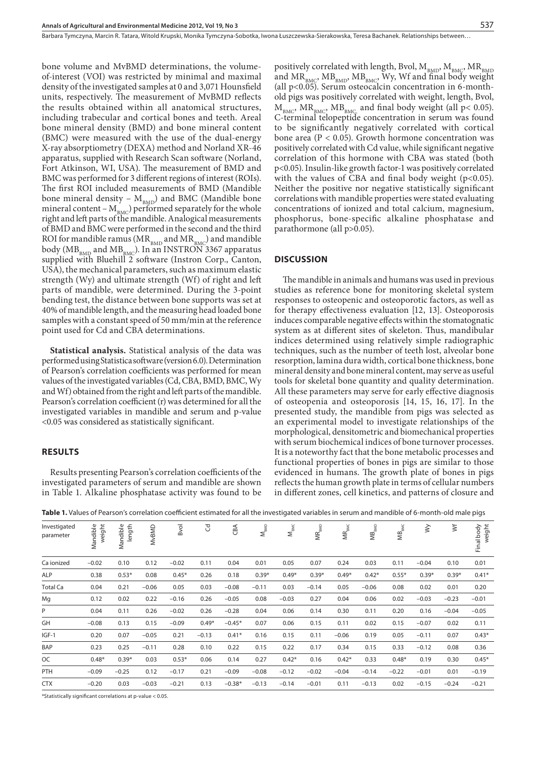Barbara Tymczyna, Marcin R. Tatara, Witold Krupski, Monika Tymczyna-Sobotka, Iwona Łuszczewska-Sierakowska, Teresa Bachanek. Relationships between…

bone volume and MvBMD determinations, the volumeof-interest (VOI) was restricted by minimal and maximal density of the investigated samples at 0 and 3,071 Hounsfield units, respectively. The measurement of MvBMD reflects the results obtained within all anatomical structures, including trabecular and cortical bones and teeth. Areal bone mineral density (BMD) and bone mineral content (BMC) were measured with the use of the dual-energy X-ray absorptiometry (DEXA) method and Norland XR-46 apparatus, supplied with Research Scan software (Norland, Fort Atkinson, WI, USA). The measurement of BMD and BMC was performed for 3 different regions of interest (ROIs). The first ROI included measurements of BMD (Mandible bone mineral density –  $M_{BMD}$ ) and BMC (Mandible bone mineral content –  $M_{BMC}$ ) performed separately for the whole right and left parts of the mandible. Analogical measurements of BMD and BMC were performed in the second and the third ROI for mandible ramus (MR $_{\rm BMD}$  and MR $_{\rm BMC}$ ) and mandible body ( $MB_{BMD}$  and  $MB_{BMC}$ ). In an INSTRON 3367 apparatus supplied with Bluehill 2 software (Instron Corp., Canton, USA), the mechanical parameters, such as maximum elastic strength (Wy) and ultimate strength (Wf) of right and left parts of mandible, were determined. During the 3-point bending test, the distance between bone supports was set at 40% of mandible length, and the measuring head loaded bone samples with a constant speed of 50 mm/min at the reference point used for Cd and CBA determinations.

**Statistical analysis.** Statistical analysis of the data was performed using Statistica software (version 6.0). Determination of Pearson's correlation coefficients was performed for mean values of the investigated variables (Cd, CBA, BMD, BMC, Wy and Wf) obtained from the right and left parts of the mandible. Pearson's correlation coefficient (r) was determined for all the investigated variables in mandible and serum and p-value <0.05 was considered as statistically significant.

#### **Results**

Results presenting Pearson's correlation coefficients of the investigated parameters of serum and mandible are shown in Table 1. Alkaline phosphatase activity was found to be positively correlated with length, Bvol,  $\rm M_{\rm BMD}, \rm M_{\rm BMC}, \rm MR_{\rm BMD}$ and  $MR_{BMC}$ ,  $MB_{BMD}$ ,  $MB_{BMC}$ , Wy, Wf and final body weight (all p<0.05). Serum osteocalcin concentration in 6-monthold pigs was positively correlated with weight, length, Bvol,  $M_{_{BMC}}$ ,  $MR_{_{BMC}}$ ,  $MB_{_{BMC}}$ , and final body weight (all p< 0.05). C-terminal telopeptide concentration in serum was found to be significantly negatively correlated with cortical bone area ( $P < 0.05$ ). Growth hormone concentration was positively correlated with Cd value, while significant negative correlation of this hormone with CBA was stated (both p<0.05). Insulin-like growth factor-1 was positively correlated with the values of CBA and final body weight  $(p<0.05)$ . Neither the positive nor negative statistically significant correlations with mandible properties were stated evaluating concentrations of ionized and total calcium, magnesium, phosphorus, bone-specific alkaline phosphatase and parathormone (all p>0.05).

#### **Discussion**

The mandible in animals and humans was used in previous studies as reference bone for monitoring skeletal system responses to osteopenic and osteoporotic factors, as well as for therapy effectiveness evaluation [12, 13]. Osteoporosis induces comparable negative effects within the stomatognatic system as at different sites of skeleton. Thus, mandibular indices determined using relatively simple radiographic techniques, such as the number of teeth lost, alveolar bone resorption, lamina dura width, cortical bone thickness, bone mineral density and bone mineral content, may serve as useful tools for skeletal bone quantity and quality determination. All these parameters may serve for early effective diagnosis of osteopenia and osteoporosis [14, 15, 16, 17]. In the presented study, the mandible from pigs was selected as an experimental model to investigate relationships of the morphological, densitometric and biomechanical properties with serum biochemical indices of bone turnover processes. It is a noteworthy fact that the bone metabolic processes and functional properties of bones in pigs are similar to those evidenced in humans. The growth plate of bones in pigs reflects the human growth plate in terms of cellular numbers in different zones, cell kinetics, and patterns of closure and

| Table 1. Values of Pearson's correlation coefficient estimated for all the investigated variables in serum and mandible of 6-month-old male pigs |  |
|--------------------------------------------------------------------------------------------------------------------------------------------------|--|
|--------------------------------------------------------------------------------------------------------------------------------------------------|--|

| Investigated<br>parameter | weight<br>Mandible | Mandible<br>length | MvBMD   | Bvol    | $\mathcal{C}$ | CBA      | $\mathsf{M}_{\texttt{BMD}}$ | $\mathsf{M}_{\scriptscriptstyle{\mathsf{BMC}}}$ | ${\sf MR}_{\sf BMD}$ | ${\sf MR}_{\sf BMC}$ | $\mathsf{MB}_{\scriptscriptstyle{\mathsf{BMD}}}$ | $\mathsf{MB}_{\scriptscriptstyle\mathsf{BMC}}$ | $\gtrless$ | $\breve{}$ | weight<br>Final body |
|---------------------------|--------------------|--------------------|---------|---------|---------------|----------|-----------------------------|-------------------------------------------------|----------------------|----------------------|--------------------------------------------------|------------------------------------------------|------------|------------|----------------------|
| Ca ionized                | $-0.02$            | 0.10               | 0.12    | $-0.02$ | 0.11          | 0.04     | 0.01                        | 0.05                                            | 0.07                 | 0.24                 | 0.03                                             | 0.11                                           | $-0.04$    | 0.10       | 0.01                 |
| <b>ALP</b>                | 0.38               | $0.53*$            | 0.08    | $0.45*$ | 0.26          | 0.18     | $0.39*$                     | $0.49*$                                         | $0.39*$              | $0.49*$              | $0.42*$                                          | $0.55*$                                        | $0.39*$    | $0.39*$    | $0.41*$              |
| <b>Total Ca</b>           | 0.04               | 0.21               | $-0.06$ | 0.05    | 0.03          | $-0.08$  | $-0.11$                     | 0.03                                            | $-0.14$              | 0.05                 | $-0.06$                                          | 0.08                                           | 0.02       | 0.01       | 0.20                 |
| Mg                        | 0.12               | 0.02               | 0.22    | $-0.16$ | 0.26          | $-0.05$  | 0.08                        | $-0.03$                                         | 0.27                 | 0.04                 | 0.06                                             | 0.02                                           | $-0.03$    | $-0.23$    | $-0.01$              |
| P                         | 0.04               | 0.11               | 0.26    | $-0.02$ | 0.26          | $-0.28$  | 0.04                        | 0.06                                            | 0.14                 | 0.30                 | 0.11                                             | 0.20                                           | 0.16       | $-0.04$    | $-0.05$              |
| GH                        | $-0.08$            | 0.13               | 0.15    | $-0.09$ | $0.49*$       | $-0.45*$ | 0.07                        | 0.06                                            | 0.15                 | 0.11                 | 0.02                                             | 0.15                                           | $-0.07$    | 0.02       | 0.11                 |
| IGF-1                     | 0.20               | 0.07               | $-0.05$ | 0.21    | $-0.13$       | $0.41*$  | 0.16                        | 0.15                                            | 0.11                 | $-0.06$              | 0.19                                             | 0.05                                           | $-0.11$    | 0.07       | $0.43*$              |
| BAP                       | 0.23               | 0.25               | $-0.11$ | 0.28    | 0.10          | 0.22     | 0.15                        | 0.22                                            | 0.17                 | 0.34                 | 0.15                                             | 0.33                                           | $-0.12$    | 0.08       | 0.36                 |
| OC                        | $0.48*$            | $0.39*$            | 0.03    | $0.53*$ | 0.06          | 0.14     | 0.27                        | $0.42*$                                         | 0.16                 | $0.42*$              | 0.33                                             | $0.48*$                                        | 0.19       | 0.30       | $0.45*$              |
| PTH                       | $-0.09$            | $-0.25$            | 0.12    | $-0.17$ | 0.21          | $-0.09$  | $-0.08$                     | $-0.12$                                         | $-0.02$              | $-0.04$              | $-0.14$                                          | $-0.22$                                        | $-0.01$    | 0.01       | $-0.19$              |
| <b>CTX</b>                | $-0.20$            | 0.03               | $-0.03$ | $-0.21$ | 0.13          | $-0.38*$ | $-0.13$                     | $-0.14$                                         | $-0.01$              | 0.11                 | $-0.13$                                          | 0.02                                           | $-0.15$    | $-0.24$    | $-0.21$              |
|                           |                    |                    |         |         |               |          |                             |                                                 |                      |                      |                                                  |                                                |            |            |                      |

\*Statistically significant correlations at p-value < 0.05.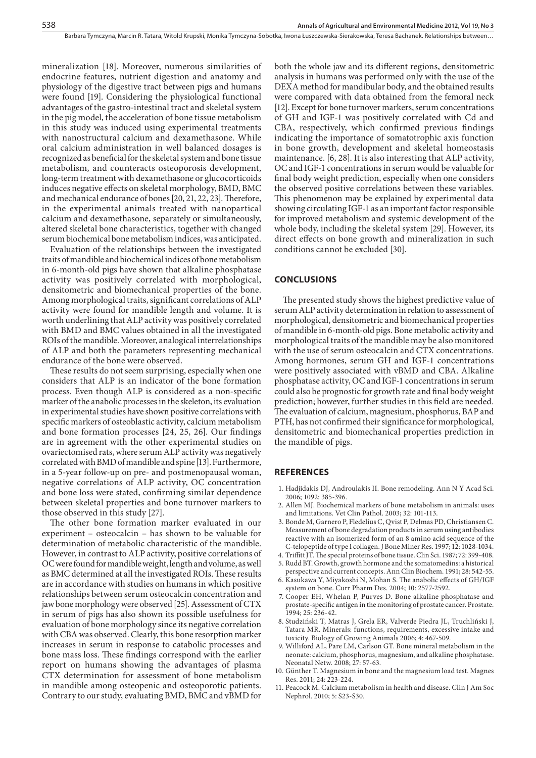mineralization [18]. Moreover, numerous similarities of endocrine features, nutrient digestion and anatomy and physiology of the digestive tract between pigs and humans were found [19]. Considering the physiological functional advantages of the gastro-intestinal tract and skeletal system in the pig model, the acceleration of bone tissue metabolism in this study was induced using experimental treatments with nanostructural calcium and dexamethasone. While oral calcium administration in well balanced dosages is recognized as beneficial for the skeletal system and bone tissue metabolism, and counteracts osteoporosis development, long-term treatment with dexamethasone or glucocorticoids induces negative effects on skeletal morphology, BMD, BMC and mechanical endurance of bones [20, 21, 22, 23]. Therefore, in the experimental animals treated with nanopartical calcium and dexamethasone, separately or simultaneously, altered skeletal bone characteristics, together with changed serum biochemical bone metabolism indices, was anticipated.

Evaluation of the relationships between the investigated traits of mandible and biochemical indices of bone metabolism in 6-month-old pigs have shown that alkaline phosphatase activity was positively correlated with morphological, densitometric and biomechanical properties of the bone. Among morphological traits, significant correlations of ALP activity were found for mandible length and volume. It is worth underlining that ALP activity was positively correlated with BMD and BMC values obtained in all the investigated ROIs of the mandible. Moreover, analogical interrelationships of ALP and both the parameters representing mechanical endurance of the bone were observed.

These results do not seem surprising, especially when one considers that ALP is an indicator of the bone formation process. Even though ALP is considered as a non-specific marker of the anabolic processes in the skeleton, its evaluation in experimental studies have shown positive correlations with specific markers of osteoblastic activity, calcium metabolism and bone formation processes [24, 25, 26]. Our findings are in agreement with the other experimental studies on ovariectomised rats, where serum ALP activity was negatively correlated with BMD of mandible and spine [13]. Furthermore, in a 5-year follow-up on pre- and postmenopausal woman, negative correlations of ALP activity, OC concentration and bone loss were stated, confirming similar dependence between skeletal properties and bone turnover markers to those observed in this study [27].

The other bone formation marker evaluated in our experiment – osteocalcin – has shown to be valuable for determination of metabolic characteristic of the mandible. However, in contrast to ALP activity, positive correlations of OC were found for mandible weight, length and volume, as well as BMC determined at all the investigated ROIs. These results are in accordance with studies on humans in which positive relationships between serum osteocalcin concentration and jaw bone morphology were observed [25]. Assessment of CTX in serum of pigs has also shown its possible usefulness for evaluation of bone morphology since its negative correlation with CBA was observed. Clearly, this bone resorption marker increases in serum in response to catabolic processes and bone mass loss. These findings correspond with the earlier report on humans showing the advantages of plasma CTX determination for assessment of bone metabolism in mandible among osteopenic and osteoporotic patients. Contrary to our study, evaluating BMD, BMC and vBMD for

both the whole jaw and its different regions, densitometric analysis in humans was performed only with the use of the DEXA method for mandibular body, and the obtained results were compared with data obtained from the femoral neck [12]. Except for bone turnover markers, serum concentrations of GH and IGF-1 was positively correlated with Cd and CBA, respectively, which confirmed previous findings indicating the importance of somatotrophic axis function in bone growth, development and skeletal homeostasis maintenance. [6, 28]. It is also interesting that ALP activity, OC and IGF-1 concentrations in serum would be valuable for final body weight prediction, especially when one considers the observed positive correlations between these variables. This phenomenon may be explained by experimental data showing circulating IGF-1 as an important factor responsible for improved metabolism and systemic development of the whole body, including the skeletal system [29]. However, its direct effects on bone growth and mineralization in such conditions cannot be excluded [30].

#### **Conclusions**

The presented study shows the highest predictive value of serum ALP activity determination in relation to assessment of morphological, densitometric and biomechanical properties of mandible in 6-month-old pigs. Bone metabolic activity and morphological traits of the mandible may be also monitored with the use of serum osteocalcin and CTX concentrations. Among hormones, serum GH and IGF-1 concentrations were positively associated with vBMD and CBA. Alkaline phosphatase activity, OC and IGF-1 concentrations in serum could also be prognostic for growth rate and final body weight prediction; however, further studies in this field are needed. The evaluation of calcium, magnesium, phosphorus, BAP and PTH, has not confirmed their significance for morphological, densitometric and biomechanical properties prediction in the mandible of pigs.

#### **References**

- 1. Hadjidakis DJ, Androulakis II. Bone remodeling. Ann N Y Acad Sci. 2006; 1092: 385-396.
- 2. Allen MJ. Biochemical markers of bone metabolism in animals: uses and limitations. Vet Clin Pathol. 2003; 32: 101-113.
- 3. Bonde M, Garnero P, Fledelius C, Qvist P, Delmas PD, Christiansen C. Measurement of bone degradation products in serum using antibodies reactive with an isomerized form of an 8 amino acid sequence of the C-telopeptide of type I collagen. J Bone Miner Res. 1997; 12: 1028-1034.
- 4. Triffitt JT. The special proteins of bone tissue. Clin Sci. 1987; 72: 399-408.
- 5. Rudd BT. Growth, growth hormone and the somatomedins: a historical perspective and current concepts. Ann Clin Biochem. 1991; 28: 542-55.
- 6. Kasukawa Y, Miyakoshi N, Mohan S. The anabolic effects of GH/IGF system on bone. Curr Pharm Des. 2004; 10: 2577-2592.
- 7. Cooper EH, Whelan P, Purves D. Bone alkaline phosphatase and prostate-specific antigen in the monitoring of prostate cancer. Prostate. 1994; 25: 236-42.
- 8. Studziński T, Matras J, Grela ER, Valverde Piedra JL, Truchliński J, Tatara MR. Minerals: functions, requirements, excessive intake and toxicity. Biology of Growing Animals 2006; 4: 467-509.
- 9. Williford AL, Pare LM, Carlson GT. Bone mineral metabolism in the neonate: calcium, phosphorus, magnesium, and alkaline phosphatase. Neonatal Netw. 2008; 27: 57-63.
- 10. Günther T. Magnesium in bone and the magnesium load test. Magnes Res. 2011; 24: 223-224.
- 11. Peacock M. Calcium metabolism in health and disease. Clin J Am Soc Nephrol. 2010; 5: S23-S30.